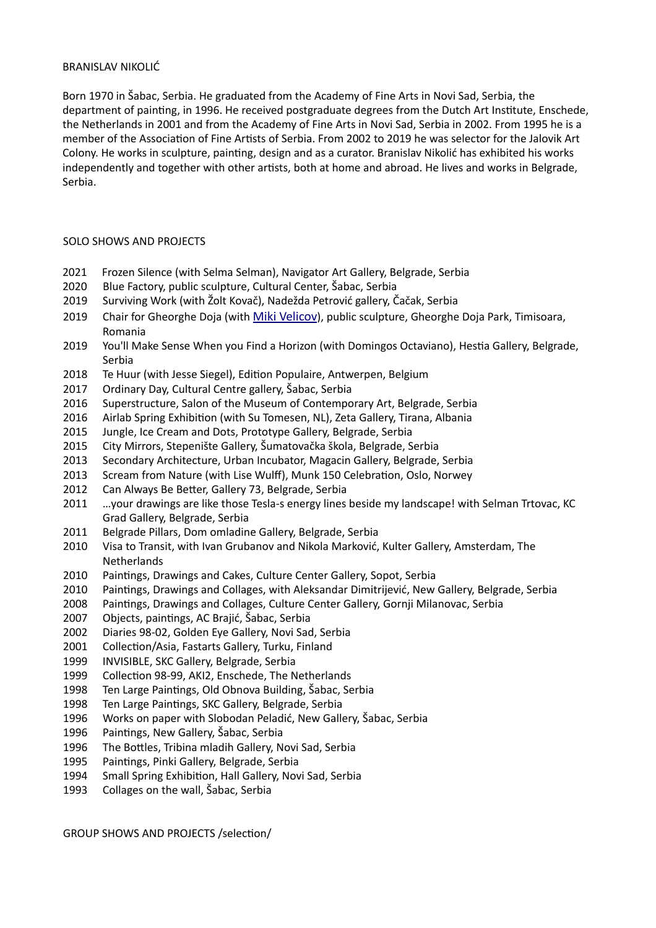#### BRANISLAV NIKOLIĆ

Born 1970 in Šabac, Serbia. He graduated from the Academy of Fine Arts in Novi Sad, Serbia, the department of painting, in 1996. He received postgraduate degrees from the Dutch Art Institute, Enschede, the Netherlands in 2001 and from the Academy of Fine Arts in Novi Sad, Serbia in 2002. From 1995 he is a member of the Association of Fine Artists of Serbia. From 2002 to 2019 he was selector for the Jalovik Art Colony. He works in sculpture, painting, design and as a curator. Branislav Nikolić has exhibited his works independently and together with other artists, both at home and abroad. He lives and works in Belgrade, Serbia.

#### SOLO SHOWS AND PROJECTS

- Frozen Silence (with Selma Selman), Navigator Art Gallery, Belgrade, Serbia
- Blue Factory, public sculpture, Cultural Center, Šabac, Serbia
- Surviving Work (with Žolt Kovač), Nadežda Petrović gallery, Čačak, Serbia
- 2019 Chair for Gheorghe Doja (with [Miki Velicov\)](https://www.flickr.com/photos/velciovmiki/?fbclid=IwAR2rGESkQ5TDc1OaB0f6X4897x1tq2raMYyR9SXafBnQBZxDYqTCZZlBOxw), public sculpture, Gheorghe Doja Park, Timisoara, Romania
- You'll Make Sense When you Find a Horizon (with Domingos Octaviano), Hestia Gallery, Belgrade, Serbia
- Te Huur (with Jesse Siegel), Edition Populaire, Antwerpen, Belgium
- Ordinary Day, Cultural Centre gallery, Šabac, Serbia
- Superstructure, Salon of the Museum of Contemporary Art, Belgrade, Serbia
- Airlab Spring Exhibition (with Su Tomesen, NL), Zeta Gallery, Tirana, Albania
- Jungle, Ice Cream and Dots, Prototype Gallery, Belgrade, Serbia
- City Mirrors, Stepenište Gallery, Šumatovačka škola, Belgrade, Serbia
- Secondary Architecture, Urban Incubator, Magacin Gallery, Belgrade, Serbia
- Scream from Nature (with Lise Wulff), Munk 150 Celebration, Oslo, Norwey
- Can Always Be Better, Gallery 73, Belgrade, Serbia
- …your drawings are like those Tesla-s energy lines beside my landscape! with Selman Trtovac, KC Grad Gallery, Belgrade, Serbia
- 2011 Belgrade Pillars, Dom omladine Gallery, Belgrade, Serbia
- Visa to Transit, with Ivan Grubanov and Nikola Marković, Kulter Gallery, Amsterdam, The Netherlands
- Paintings, Drawings and Cakes, Culture Center Gallery, Sopot, Serbia
- Paintings, Drawings and Collages, with Aleksandar Dimitrijević, New Gallery, Belgrade, Serbia
- Paintings, Drawings and Collages, Culture Center Gallery, Gornji Milanovac, Serbia
- Objects, paintings, AC Brajić, Šabac, Serbia
- Diaries 98-02, Golden Eye Gallery, Novi Sad, Serbia
- Collection/Asia, Fastarts Gallery, Turku, Finland
- INVISIBLE, SKC Gallery, Belgrade, Serbia
- Collection 98-99, AKI2, Enschede, The Netherlands
- Ten Large Paintings, Old Obnova Building, Šabac, Serbia
- Ten Large Paintings, SKC Gallery, Belgrade, Serbia
- Works on paper with Slobodan Peladić, New Gallery, Šabac, Serbia
- Paintings, New Gallery, Šabac, Serbia
- The Bottles, Tribina mladih Gallery, Novi Sad, Serbia
- Paintings, Pinki Gallery, Belgrade, Serbia
- Small Spring Exhibition, Hall Gallery, Novi Sad, Serbia
- Collages on the wall, Šabac, Serbia

GROUP SHOWS AND PROJECTS /selection/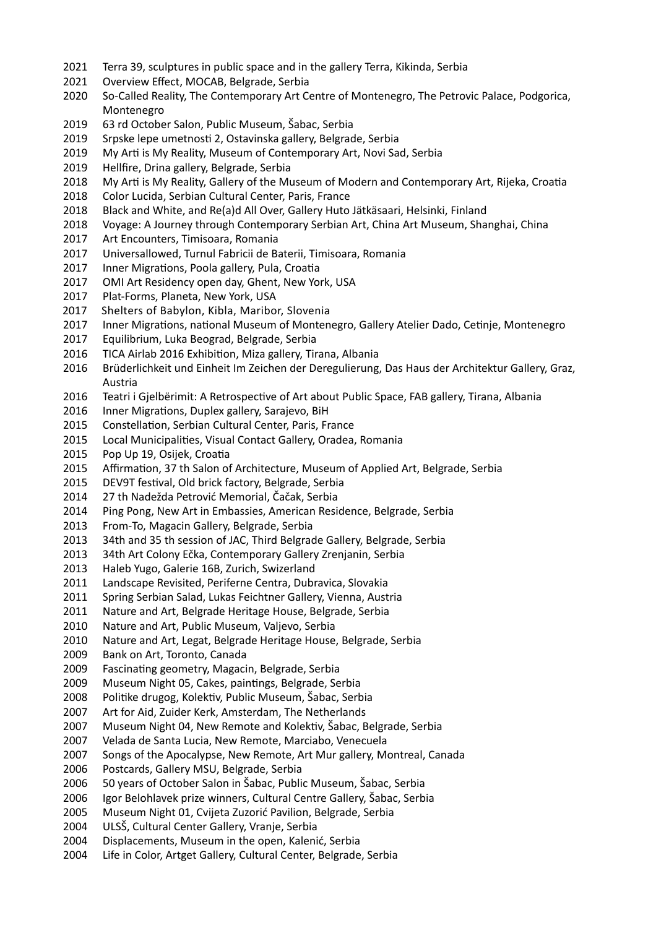- Terra 39, sculptures in public space and in the gallery Terra, Kikinda, Serbia
- Overview Effect, MOCAB, Belgrade, Serbia
- So-Called Reality, The Contemporary Art Centre of Montenegro, The Petrovic Palace, Podgorica, Montenegro
- 63 rd October Salon, Public Museum, Šabac, Serbia
- Srpske lepe umetnosti 2, Ostavinska gallery, Belgrade, Serbia
- My Arti is My Reality, Museum of Contemporary Art, Novi Sad, Serbia
- Hellfire, Drina gallery, Belgrade, Serbia
- My Arti is My Reality, Gallery of the Museum of Modern and Contemporary Art, Rijeka, Croatia
- Color Lucida, Serbian Cultural Center, Paris, France
- Black and White, and Re(a)d All Over, Gallery Huto Jätkäsaari, Helsinki, Finland
- Voyage: A Journey through Contemporary Serbian Art, China Art Museum, Shanghai, China
- Art Encounters, Timisoara, Romania
- Universallowed, Turnul Fabricii de Baterii, Timisoara, Romania
- Inner Migrations, Poola gallery, Pula, Croatia
- OMI Art Residency open day, Ghent, New York, USA
- Plat-Forms, Planeta, New York, USA
- Shelters of Babylon, Kibla, Maribor, Slovenia
- Inner Migrations, national Museum of Montenegro, Gallery Atelier Dado, Cetinje, Montenegro
- Equilibrium, Luka Beograd, Belgrade, Serbia
- TICA Airlab 2016 Exhibition, Miza gallery, Tirana, Albania
- Brüderlichkeit und Einheit Im Zeichen der Deregulierung, Das Haus der Architektur Gallery, Graz, Austria
- Teatri i Gjelbërimit: A Retrospective of Art about Public Space, FAB gallery, Tirana, Albania
- Inner Migrations, Duplex gallery, Sarajevo, BiH
- Constellation, Serbian Cultural Center, Paris, France
- Local Municipalities, Visual Contact Gallery, Oradea, Romania
- Pop Up 19, Osijek, Croatia
- Affirmation, 37 th Salon of Architecture, Museum of Applied Art, Belgrade, Serbia
- DEV9T festival, Old brick factory, Belgrade, Serbia
- 27 th Nadežda Petrović Memorial, Čačak, Serbia
- Ping Pong, New Art in Embassies, American Residence, Belgrade, Serbia
- From-To, Magacin Gallery, Belgrade, Serbia
- 34th and 35 th session of JAC, Third Belgrade Gallery, Belgrade, Serbia
- 34th Art Colony Ečka, Contemporary Gallery Zrenjanin, Serbia
- Haleb Yugo, Galerie 16B, Zurich, Swizerland
- Landscape Revisited, Periferne Centra, Dubravica, Slovakia
- Spring Serbian Salad, Lukas Feichtner Gallery, Vienna, Austria
- Nature and Art, Belgrade Heritage House, Belgrade, Serbia
- Nature and Art, Public Museum, Valjevo, Serbia
- Nature and Art, Legat, Belgrade Heritage House, Belgrade, Serbia
- Bank on Art, Toronto, Canada
- Fascinating geometry, Magacin, Belgrade, Serbia
- Museum Night 05, Cakes, paintings, Belgrade, Serbia
- Politike drugog, Kolektiv, Public Museum, Šabac, Serbia
- Art for Aid, Zuider Kerk, Amsterdam, The Netherlands
- Museum Night 04, New Remote and Kolektiv, Šabac, Belgrade, Serbia
- Velada de Santa Lucia, New Remote, Marciabo, Venecuela
- Songs of the Apocalypse, New Remote, Art Mur gallery, Montreal, Canada
- Postcards, Gallery MSU, Belgrade, Serbia
- 50 years of October Salon in Šabac, Public Museum, Šabac, Serbia
- Igor Belohlavek prize winners, Cultural Centre Gallery, Šabac, Serbia
- Museum Night 01, Cvijeta Zuzorić Pavilion, Belgrade, Serbia
- ULSŠ, Cultural Center Gallery, Vranje, Serbia
- Displacements, Museum in the open, Kalenić, Serbia
- Life in Color, Artget Gallery, Cultural Center, Belgrade, Serbia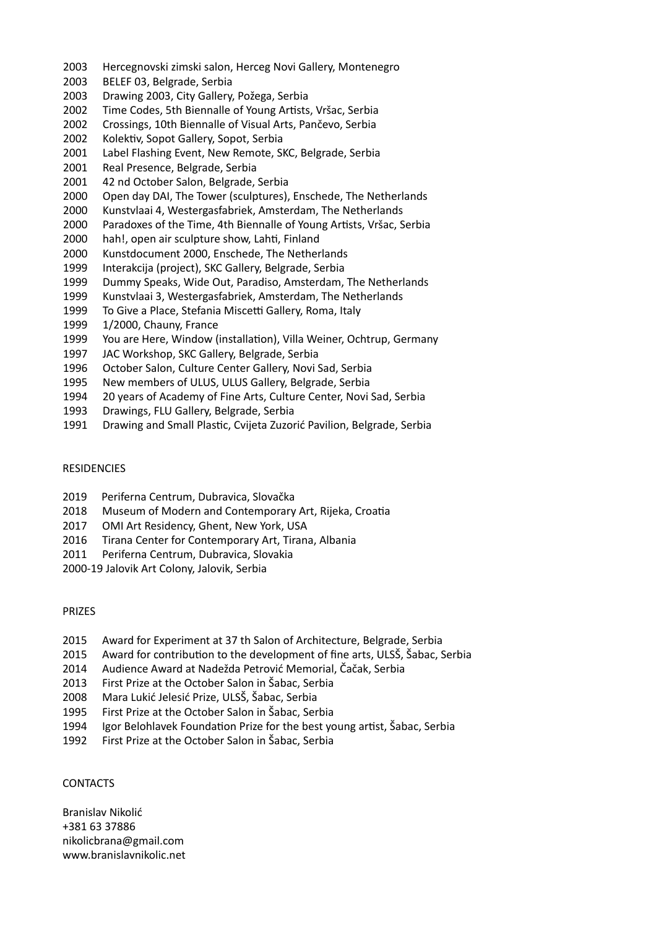- Hercegnovski zimski salon, Herceg Novi Gallery, Montenegro
- BELEF 03, Belgrade, Serbia
- Drawing 2003, City Gallery, Požega, Serbia
- Time Codes, 5th Biennalle of Young Artists, Vršac, Serbia
- Crossings, 10th Biennalle of Visual Arts, Pančevo, Serbia
- 
- 2002 Kolektiv, Sopot Gallery, Sopot, Serbia<br>2001 Label Flashing Event, New Remote, SI Label Flashing Event, New Remote, SKC, Belgrade, Serbia
- Real Presence, Belgrade, Serbia
- 42 nd October Salon, Belgrade, Serbia
- Open day DAI, The Tower (sculptures), Enschede, The Netherlands
- Kunstvlaai 4, Westergasfabriek, Amsterdam, The Netherlands
- Paradoxes of the Time, 4th Biennalle of Young Artists, Vršac, Serbia
- hah!, open air sculpture show, Lahti, Finland
- Kunstdocument 2000, Enschede, The Netherlands
- Interakcija (project), SKC Gallery, Belgrade, Serbia
- Dummy Speaks, Wide Out, Paradiso, Amsterdam, The Netherlands
- Kunstvlaai 3, Westergasfabriek, Amsterdam, The Netherlands
- To Give a Place, Stefania Miscetti Gallery, Roma, Italy
- 1/2000, Chauny, France
- You are Here, Window (installation), Villa Weiner, Ochtrup, Germany
- JAC Workshop, SKC Gallery, Belgrade, Serbia
- October Salon, Culture Center Gallery, Novi Sad, Serbia
- New members of ULUS, ULUS Gallery, Belgrade, Serbia
- 20 years of Academy of Fine Arts, Culture Center, Novi Sad, Serbia
- Drawings, FLU Gallery, Belgrade, Serbia
- Drawing and Small Plastic, Cvijeta Zuzorić Pavilion, Belgrade, Serbia

## RESIDENCIES

- Periferna Centrum, Dubravica, Slovačka
- Museum of Modern and Contemporary Art, Rijeka, Croatia
- OMI Art Residency, Ghent, New York, USA
- Tirana Center for Contemporary Art, Tirana, Albania
- Periferna Centrum, Dubravica, Slovakia
- 2000-19 Jalovik Art Colony, Jalovik, Serbia

## PRIZES

- Award for Experiment at 37 th Salon of Architecture, Belgrade, Serbia
- Award for contribution to the development of fine arts, ULSŠ, Šabac, Serbia
- Audience Award at Nadežda Petrović Memorial, Čačak, Serbia
- First Prize at the October Salon in Šabac, Serbia
- Mara Lukić Jelesić Prize, ULSŠ, Šabac, Serbia
- First Prize at the October Salon in Šabac, Serbia
- Igor Belohlavek Foundation Prize for the best young artist, Šabac, Serbia
- First Prize at the October Salon in Šabac, Serbia

# **CONTACTS**

Branislav Nikolić +381 63 37886 nikolicbrana@gmail.com www.branislavnikolic.net